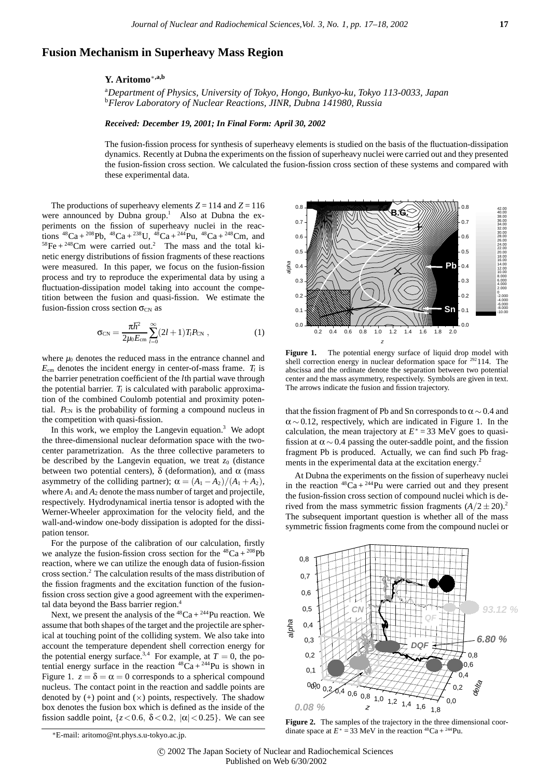## **Fusion Mechanism in Superheavy Mass Region**

## **Y. Aritomo**∗**,a,b**

a *Department of Physics, University of Tokyo, Hongo, Bunkyo-ku, Tokyo 113-0033, Japan* b *Flerov Laboratory of Nuclear Reactions, JINR, Dubna 141980, Russia*

## *Received: December 19, 2001; In Final Form: April 30, 2002*

The fusion-fission process for synthesis of superheavy elements is studied on the basis of the fluctuation-dissipation dynamics. Recently at Dubna the experiments on the fission of superheavy nuclei were carried out and they presented the fusion-fission cross section. We calculated the fusion-fission cross section of these systems and compared with these experimental data.

The productions of superheavy elements  $Z = 114$  and  $Z = 116$ were announced by Dubna group.<sup>1</sup> Also at Dubna the experiments on the fission of superheavy nuclei in the reactions  ${}^{48}Ca + {}^{208}Pb$ ,  ${}^{48}Ca + {}^{238}U$ ,  ${}^{48}Ca + {}^{244}Pu$ ,  ${}^{48}Ca + {}^{248}Cm$ , and  $58$ Fe +  $248$ Cm were carried out.<sup>2</sup> The mass and the total kinetic energy distributions of fission fragments of these reactions were measured. In this paper, we focus on the fusion-fission process and try to reproduce the experimental data by using a fluctuation-dissipation model taking into account the competition between the fusion and quasi-fission. We estimate the fusion-fission cross section  $\sigma_{CN}$  as

$$
\sigma_{\rm CN} = \frac{\pi \hbar^2}{2\mu_0 E_{\rm cm}} \sum_{l=0}^{\infty} (2l+1) T_l P_{\rm CN} \,, \tag{1}
$$

where  $\mu_0$  denotes the reduced mass in the entrance channel and  $E_{cm}$  denotes the incident energy in center-of-mass frame.  $T_l$  is the barrier penetration coefficient of the *l*th partial wave through the potential barrier.  $T_l$  is calculated with parabolic approximation of the combined Coulomb potential and proximity potential. P<sub>CN</sub> is the probability of forming a compound nucleus in the competition with quasi-fission.

In this work, we employ the Langevin equation.<sup>3</sup> We adopt the three-dimensional nuclear deformation space with the twocenter parametrization. As the three collective parameters to be described by the Langevin equation, we treat  $z_0$  (distance between two potential centers),  $\delta$  (deformation), and  $\alpha$  (mass asymmetry of the colliding partner);  $\alpha = (A_1 - A_2)/(A_1 + A_2)$ , where  $A_1$  and  $A_2$  denote the mass number of target and projectile, respectively. Hydrodynamical inertia tensor is adopted with the Werner-Wheeler approximation for the velocity field, and the wall-and-window one-body dissipation is adopted for the dissipation tensor.

For the purpose of the calibration of our calculation, firstly we analyze the fusion-fission cross section for the  ${}^{48}Ca + {}^{208}Pb$ reaction, where we can utilize the enough data of fusion-fission cross section.2 The calculation results of the mass distribution of the fission fragments and the excitation function of the fusionfission cross section give a good agreement with the experimental data beyond the Bass barrier region.<sup>4</sup>

Next, we present the analysis of the  ${}^{48}Ca + {}^{244}Pu$  reaction. We assume that both shapes of the target and the projectile are spherical at touching point of the colliding system. We also take into account the temperature dependent shell correction energy for the potential energy surface.<sup>3,4</sup> For example, at  $T = 0$ , the potential energy surface in the reaction  ${}^{48}Ca + {}^{244}Pu$  is shown in Figure 1.  $z = \delta = \alpha = 0$  corresponds to a spherical compound nucleus. The contact point in the reaction and saddle points are denoted by  $(+)$  point and  $(\times)$  points, respectively. The shadow box denotes the fusion box which is defined as the inside of the fission saddle point,  $\{z \le 0.6, \ \delta \le 0.2, \ |\alpha| \le 0.25\}$ . We can see



Figure 1. The potential energy surface of liquid drop model with shell correction energy in nuclear deformation space for  $292114$ . The abscissa and the ordinate denote the separation between two potential center and the mass asymmetry, respectively. Symbols are given in text. The arrows indicate the fusion and fission trajectory.

that the fission fragment of Pb and Sn corresponds to  $\alpha \sim 0.4$  and  $\alpha \sim 0.12$ , respectively, which are indicated in Figure 1. In the calculation, the mean trajectory at  $E^* = 33$  MeV goes to quasifission at  $\alpha \sim 0.4$  passing the outer-saddle point, and the fission fragment Pb is produced. Actually, we can find such Pb fragments in the experimental data at the excitation energy.<sup>2</sup>

At Dubna the experiments on the fission of superheavy nuclei in the reaction  ${}^{48}Ca + {}^{244}Pu$  were carried out and they present the fusion-fission cross section of compound nuclei which is derived from the mass symmetric fission fragments  $(A/2 \pm 20)^2$ . The subsequent important question is whether all of the mass symmetric fission fragments come from the compound nuclei or



Figure 2. The samples of the trajectory in the three dimensional coordinate space at  $E^* = 33$  MeV in the reaction <sup>48</sup>Ca + <sup>244</sup>Pu.

<sup>∗</sup>E-mail: aritomo@nt.phys.s.u-tokyo.ac.jp.

c 2002 The Japan Society of Nuclear and Radiochemical Sciences Published on Web 6/30/2002